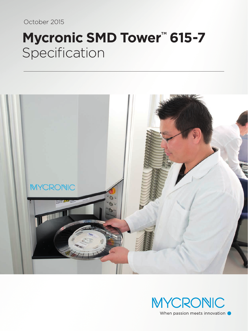October 2015

# **Mycronic SMD Tower™ 615-7** Specification



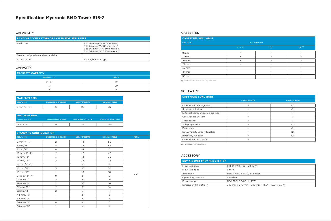## **Specification Mycronic SMD Tower 615-7**

#### **CAPABILITY**

| <b>RANDOM ACCESS STORAGE SYSTEM FOR SMD REELS</b> |                                                                                                                                  |  |
|---------------------------------------------------|----------------------------------------------------------------------------------------------------------------------------------|--|
| Reel sizes                                        | 8 to 24 mm (4"/100 mm reels)<br>8 to 24 mm (7"/180 mm reels)<br>8 to 56 mm (13"/330 mm reels)<br>8 to 56 mm (15 "/ 380 mm reels) |  |
| Freely configurable and expandable                |                                                                                                                                  |  |
| Access time                                       | 5 reels/minutes typ.                                                                                                             |  |

### **CAPACITY**

#### **STANDARD CONFIGURATION**

| <b>REEL WIDTH</b>      | <b>CASSETTES / SMD TOWER</b> | <b>REELS/CASSETTE</b> | <b>NUMBER OF REELS</b> | <b>TOTAL</b> |
|------------------------|------------------------------|-----------------------|------------------------|--------------|
| 8 mm/4"-7"             | 2                            | 14                    | 56                     |              |
| 8 mm/13"               | $\overline{4}$               | 14                    | 56                     |              |
| 8 mm/15"               | $\circ$                      | 14                    | $\circ$                |              |
| 12 mm/4"-7"            | $\sqrt{2}$                   | 12                    | 48                     |              |
| $12 \text{ mm} / 13$ " | $\overline{3}$               | 12                    | 36                     |              |
| 12 mm/15"              | $\overline{2}$               | 12                    | 24                     |              |
| 16 mm/4"-7"            | 1                            | 10 <sup>°</sup>       | 20                     |              |
| 16 mm/13"              | $\overline{\mathsf{S}}$      | 10 <sup>°</sup>       | 30                     |              |
| 16 mm/15"              | $\mathbf{1}$                 | 10                    | 10 <sup>°</sup>        |              |
| 24 mm/4"-7"            | $\circ$                      | 8                     | $\circ$                | 354          |
| 24 mm/13"              | $\overline{2}$               | 8                     | 16                     |              |
| 24 mm/15"              | 2                            | 8                     | 16                     |              |
| 32 mm/13"              | $\overline{2}$               | 7                     | 14                     |              |
| 32 mm/15"              | $\overline{2}$               | 7                     | 14                     |              |
| 44 mm/13"              | $\mathbf{1}$                 | 5                     | 5                      |              |
| 44 mm/15"              | $\mathbf{1}$                 | 5                     | 5                      |              |
| 56 mm/13"              | $\circ$                      | $\overline{4}$        | $\circ$                |              |
| 56 mm/15"              | 1                            | 4                     | $\overline{4}$         |              |

| <b>MAXIMUM REEL</b>      |                              |                       |                 |
|--------------------------|------------------------------|-----------------------|-----------------|
| <b>REEL WIDTH</b>        | <b>CASSETTES / SMD TOWER</b> | <b>REELS/CASSETTE</b> | NUMBER OF REELS |
| $8 \text{ mm} / 4" - 7"$ | フロ                           |                       |                 |

| <b>MAXIMUM TRAY</b>   |                              |                            |                             |
|-----------------------|------------------------------|----------------------------|-----------------------------|
| <b>CASSETTE WIDTH</b> | <b>CASSETTES / SMD TOWER</b> | <b>TRAY BOXES/CASSETTE</b> | <b>NUMBER OF TRAY BOXES</b> |
| $44$ mm/13"           | 29                           |                            | 725                         |

| <b>CASSETTE CAPACITY</b> |               |  |
|--------------------------|---------------|--|
| <b>CASSETTE TYPE</b>     | <b>NUMBER</b> |  |
| $\Delta'' - 7''$         | 29            |  |
| 1Z''                     | 2C            |  |
| 1도"                      |               |  |

| <b>CASSETTES AVAILABLE</b> |                       |           |            |
|----------------------------|-----------------------|-----------|------------|
| <b>REEL WIDTH</b>          | <b>REEL DIAMETERS</b> |           |            |
|                            | $4'' - 7''$           | 13''      | $15''$ (1) |
| 8 mm                       |                       |           |            |
| 12 mm                      |                       | ٠         |            |
| 16 mm                      |                       | $\bullet$ |            |
| 24 mm                      |                       |           |            |
| 32 mm                      |                       | $\bullet$ |            |
| 44 mm                      |                       |           |            |
| 56 mm                      |                       | $\bullet$ |            |

#### CASSETTES

| DRY AIR UNIT FREY FND 3.0 F-DP      |                                                  |  |
|-------------------------------------|--------------------------------------------------|--|
| Flow rate, max                      | (in) 24 $\rm m^3/h$ , (out) 20 $\rm m^3/h$       |  |
| Flow rate, type                     | $3 \text{ m}^3/h$                                |  |
| Air supply                          | class 4 (ISO 8573-1) or better                   |  |
| Operating pressure                  | $5-10$ bar                                       |  |
| Power supply                        | 115/230 V, 50/60 Hz, 18W                         |  |
| Dimension (W $\times$ D $\times$ H) | 330 mm x 270 mm x 840 mm (13.0" x 10.6" x 33.1") |  |

#### ACCESSORY

| <b>SOFTWARE FUNCTIONS</b>       |                      |                      |
|---------------------------------|----------------------|----------------------|
|                                 | <b>STANDARD MODE</b> | <b>MYCENTER MODE</b> |
| Component management            |                      | (2)                  |
| Stock monitoring                | ٠                    | (2)                  |
| External communication protocol | ٠                    |                      |
| User Access System              |                      |                      |
| Traceability                    |                      |                      |
| Job preparation                 | ٠                    | (2)                  |
| Barcoding                       |                      | (2)                  |
| Data import/Export function     |                      | (2)                  |
| Inventory function              | ٠                    | (2)                  |
| Component allocation            | ٠                    |                      |

(2) Handled by MYCenter software.

(1) Smaller reels can be stored in a larger cassette.

#### SOFTWARE